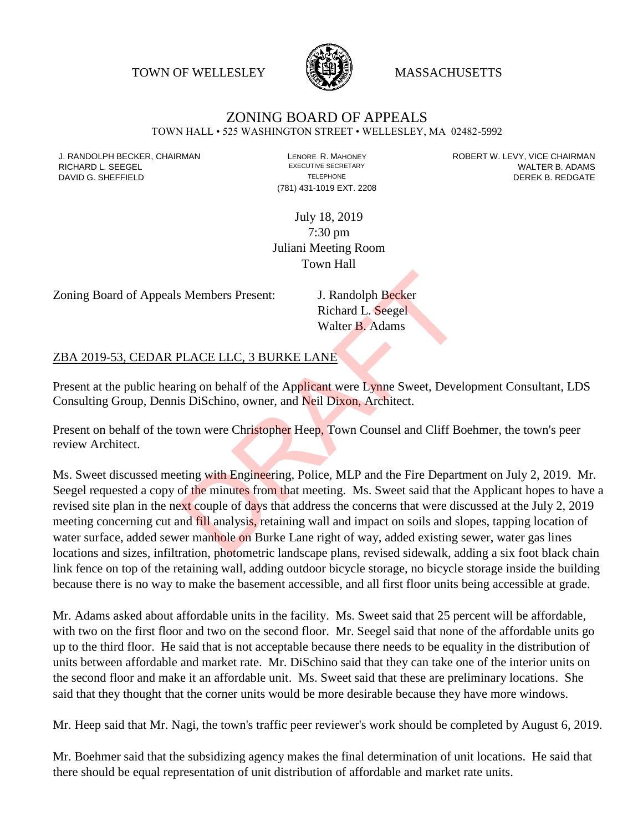TOWN OF WELLESLEY **WASSACHUSETTS** 



## ZONING BOARD OF APPEALS

TOWN HALL • 525 WASHINGTON STREET • WELLESLEY, MA 02482-5992

(781) 431-1019 EXT. 2208

J. RANDOLPH BECKER, CHAIRMAN LAND LENORE R. MAHONEY LENORE RESOLUTIVE SECRETARY LEVY, VICE CHAIRMAN LAND RISPO<br>RICHARD L. SFFGFI LADAMS RICHARD L. SEEGEL **EXECUTIVE SECRETARY CONTROLL SEEGETARY** WALTER B. ADAMS DAVID G. SHEFFIELD **TELEPHONE** TELEPHONE TELEPHONE **TELEPHONE DEREK B. REDGATE** 

> July 18, 2019 7:30 pm Juliani Meeting Room Town Hall

Zoning Board of Appeals Members Present: J. Randolph Becker

Richard L. Seegel Walter B. Adams

## ZBA 2019-53, CEDAR PLACE LLC, 3 BURKE LANE

Present at the public hearing on behalf of the Applicant were Lynne Sweet, Development Consultant, LDS Consulting Group, Dennis DiSchino, owner, and Neil Dixon, Architect.

Present on behalf of the town were Christopher Heep, Town Counsel and Cliff Boehmer, the town's peer review Architect.

Ms. Sweet discussed meeting with Engineering, Police, MLP and the Fire Department on July 2, 2019. Mr. Seegel requested a copy of the minutes from that meeting. Ms. Sweet said that the Applicant hopes to have a revised site plan in the next couple of days that address the concerns that were discussed at the July 2, 2019 meeting concerning cut and fill analysis, retaining wall and impact on soils and slopes, tapping location of water surface, added sewer manhole on Burke Lane right of way, added existing sewer, water gas lines locations and sizes, infiltration, photometric landscape plans, revised sidewalk, adding a six foot black chain link fence on top of the retaining wall, adding outdoor bicycle storage, no bicycle storage inside the building because there is no way to make the basement accessible, and all first floor units being accessible at grade. J. Randolph Becker<br>
Richard L. Seegel<br>
Walter B. Adams<br>
PLACE LLC, 3 BURKE LANE<br>
The probability of the Applicant were Lynne Sweet, Devel<br>
is DiSchino, owner, and Neil Dixon, Architect.<br>
OWN were Christopher Heep, Town Cou

Mr. Adams asked about affordable units in the facility. Ms. Sweet said that 25 percent will be affordable, with two on the first floor and two on the second floor. Mr. Seegel said that none of the affordable units go up to the third floor. He said that is not acceptable because there needs to be equality in the distribution of units between affordable and market rate. Mr. DiSchino said that they can take one of the interior units on the second floor and make it an affordable unit. Ms. Sweet said that these are preliminary locations. She said that they thought that the corner units would be more desirable because they have more windows.

Mr. Heep said that Mr. Nagi, the town's traffic peer reviewer's work should be completed by August 6, 2019.

Mr. Boehmer said that the subsidizing agency makes the final determination of unit locations. He said that there should be equal representation of unit distribution of affordable and market rate units.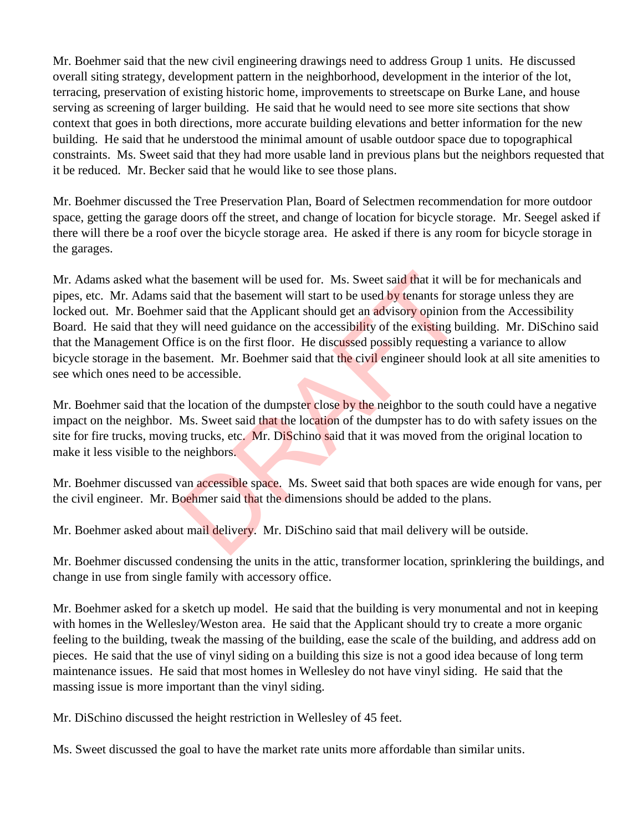Mr. Boehmer said that the new civil engineering drawings need to address Group 1 units. He discussed overall siting strategy, development pattern in the neighborhood, development in the interior of the lot, terracing, preservation of existing historic home, improvements to streetscape on Burke Lane, and house serving as screening of larger building. He said that he would need to see more site sections that show context that goes in both directions, more accurate building elevations and better information for the new building. He said that he understood the minimal amount of usable outdoor space due to topographical constraints. Ms. Sweet said that they had more usable land in previous plans but the neighbors requested that it be reduced. Mr. Becker said that he would like to see those plans.

Mr. Boehmer discussed the Tree Preservation Plan, Board of Selectmen recommendation for more outdoor space, getting the garage doors off the street, and change of location for bicycle storage. Mr. Seegel asked if there will there be a roof over the bicycle storage area. He asked if there is any room for bicycle storage in the garages.

Mr. Adams asked what the basement will be used for. Ms. Sweet said that it will be for mechanicals and pipes, etc. Mr. Adams said that the basement will start to be used by tenants for storage unless they are locked out. Mr. Boehmer said that the Applicant should get an advisory opinion from the Accessibility Board. He said that they will need guidance on the accessibility of the existing building. Mr. DiSchino said that the Management Office is on the first floor. He discussed possibly requesting a variance to allow bicycle storage in the basement. Mr. Boehmer said that the civil engineer should look at all site amenities to see which ones need to be accessible. The basement will be used for. Ms. Sweet said that it will<br>id that the basement will start to be used by tenants for s<br>r said that the Applicant should get an advisory opinion f<br>will need guidance on the accessibility of t

Mr. Boehmer said that the location of the dumpster close by the neighbor to the south could have a negative impact on the neighbor. Ms. Sweet said that the location of the dumpster has to do with safety issues on the site for fire trucks, moving trucks, etc. Mr. DiSchino said that it was moved from the original location to make it less visible to the neighbors.

Mr. Boehmer discussed van accessible space. Ms. Sweet said that both spaces are wide enough for vans, per the civil engineer. Mr. Boehmer said that the dimensions should be added to the plans.

Mr. Boehmer asked about mail delivery. Mr. DiSchino said that mail delivery will be outside.

Mr. Boehmer discussed condensing the units in the attic, transformer location, sprinklering the buildings, and change in use from single family with accessory office.

Mr. Boehmer asked for a sketch up model. He said that the building is very monumental and not in keeping with homes in the Wellesley/Weston area. He said that the Applicant should try to create a more organic feeling to the building, tweak the massing of the building, ease the scale of the building, and address add on pieces. He said that the use of vinyl siding on a building this size is not a good idea because of long term maintenance issues. He said that most homes in Wellesley do not have vinyl siding. He said that the massing issue is more important than the vinyl siding.

Mr. DiSchino discussed the height restriction in Wellesley of 45 feet.

Ms. Sweet discussed the goal to have the market rate units more affordable than similar units.